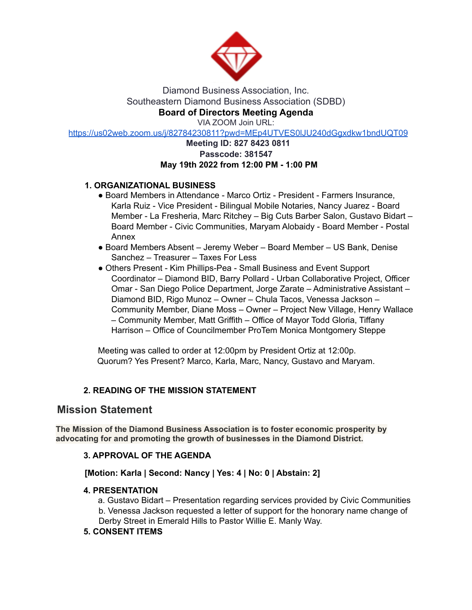

### Diamond Business Association, Inc. Southeastern Diamond Business Association (SDBD) **Board of Directors Meeting Agenda**

VIA ZOOM Join URL:

https://us02web.zoom.us/j/82784230811?pwd=MEp4UTVES0lJU240dGgxdkw1bndUQT09

# **Meeting ID: 827 8423 0811 Passcode: 381547 May 19th 2022 from 12:00 PM - 1:00 PM**

# **1. ORGANIZATIONAL BUSINESS**

- Board Members in Attendance Marco Ortiz President Farmers Insurance, Karla Ruiz - Vice President - Bilingual Mobile Notaries, Nancy Juarez - Board Member - La Fresheria, Marc Ritchey – Big Cuts Barber Salon, Gustavo Bidart – Board Member - Civic Communities, Maryam Alobaidy - Board Member - Postal Annex
- Board Members Absent Jeremy Weber Board Member US Bank, Denise Sanchez – Treasurer – Taxes For Less
- Others Present Kim Phillips-Pea Small Business and Event Support Coordinator – Diamond BID, Barry Pollard - Urban Collaborative Project, Officer Omar - San Diego Police Department, Jorge Zarate – Administrative Assistant – Diamond BID, Rigo Munoz – Owner – Chula Tacos, Venessa Jackson – Community Member, Diane Moss – Owner – Project New Village, Henry Wallace – Community Member, Matt Griffith – Office of Mayor Todd Gloria, Tiffany Harrison – Office of Councilmember ProTem Monica Montgomery Steppe

Meeting was called to order at 12:00pm by President Ortiz at 12:00p. Quorum? Yes Present? Marco, Karla, Marc, Nancy, Gustavo and Maryam.

# **2. READING OF THE MISSION STATEMENT**

# **Mission Statement**

**The Mission of the Diamond Business Association is to foster economic prosperity by advocating for and promoting the growth of businesses in the Diamond District.**

# **3. APPROVAL OF THE AGENDA**

# **[Motion: Karla | Second: Nancy | Yes: 4 | No: 0 | Abstain: 2]**

#### **4. PRESENTATION**

a. Gustavo Bidart – Presentation regarding services provided by Civic Communities b. Venessa Jackson requested a letter of support for the honorary name change of Derby Street in Emerald Hills to Pastor Willie E. Manly Way.

# **5. CONSENT ITEMS**